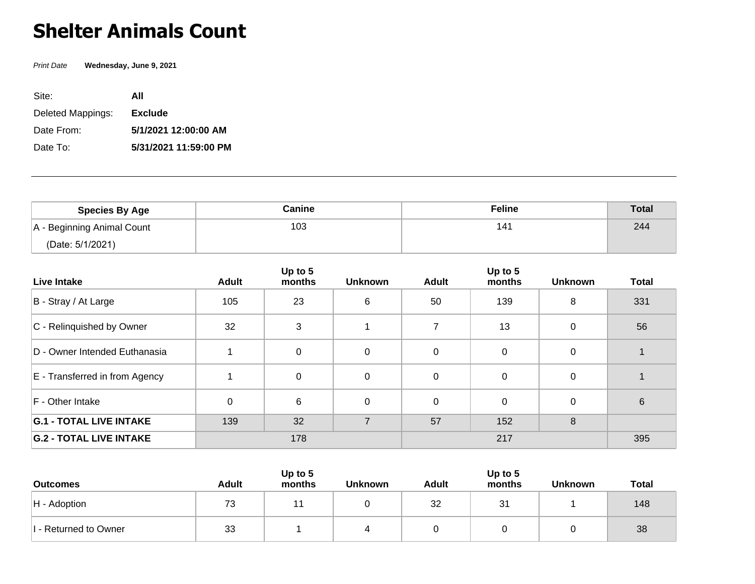## **Shelter Animals Count**

Print Date **Wednesday, June 9, 2021**

| Site:             | ΑII                   |
|-------------------|-----------------------|
| Deleted Mappings: | <b>Exclude</b>        |
| Date From:        | 5/1/2021 12:00:00 AM  |
| Date To:          | 5/31/2021 11:59:00 PM |

| <b>Species By Age</b>      | Canine | <b>Feline</b> | <b>Total</b> |
|----------------------------|--------|---------------|--------------|
| A - Beginning Animal Count | 103    | 141           | 244          |
| (Date: 5/1/2021)           |        |               |              |

| Live Intake                    | Adult    | Up to 5<br>months | <b>Unknown</b> | <b>Adult</b> | Up to 5<br>months | <b>Unknown</b> | <b>Total</b> |
|--------------------------------|----------|-------------------|----------------|--------------|-------------------|----------------|--------------|
| B - Stray / At Large           | 105      | 23                | 6              | 50           | 139               | 8              | 331          |
| C - Relinquished by Owner      | 32       | 3                 |                |              | 13                | 0              | 56           |
| D - Owner Intended Euthanasia  |          | 0                 | $\Omega$       | $\mathbf{0}$ | $\Omega$          | 0              |              |
| E - Transferred in from Agency |          | 0                 | 0              | $\Omega$     | $\Omega$          | $\Omega$       |              |
| F - Other Intake               | $\Omega$ | 6                 | $\Omega$       | $\Omega$     | $\Omega$          | $\Omega$       | 6            |
| <b>G.1 - TOTAL LIVE INTAKE</b> | 139      | 32                | 7              | 57           | 152               | 8              |              |
| <b>G.2 - TOTAL LIVE INTAKE</b> |          | 178               |                |              | 217               |                | 395          |

| <b>Outcomes</b>       | <b>Adult</b> | Up to $5$<br>months | <b>Unknown</b> | <b>Adult</b> | Up to 5<br>months | <b>Unknown</b> | <b>Total</b> |
|-----------------------|--------------|---------------------|----------------|--------------|-------------------|----------------|--------------|
| $H -$ Adoption        | 73           | 11                  |                | 32           | 31                |                | 148          |
| I - Returned to Owner | 33           |                     | 4              |              |                   |                | 38           |